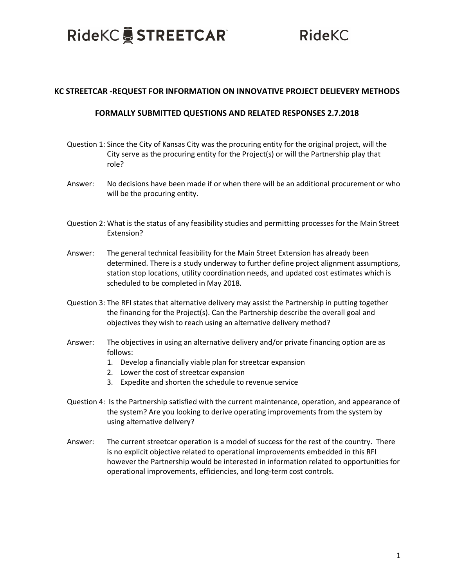## RideKC STREETCAR®

**RideKC** 

## **KC STREETCAR -REQUEST FOR INFORMATION ON INNOVATIVE PROJECT DELIEVERY METHODS**

## **FORMALLY SUBMITTED QUESTIONS AND RELATED RESPONSES 2.7.2018**

- Question 1: Since the City of Kansas City was the procuring entity for the original project, will the City serve as the procuring entity for the Project(s) or will the Partnership play that role?
- Answer: No decisions have been made if or when there will be an additional procurement or who will be the procuring entity.
- Question 2: What is the status of any feasibility studies and permitting processes for the Main Street Extension?
- Answer: The general technical feasibility for the Main Street Extension has already been determined. There is a study underway to further define project alignment assumptions, station stop locations, utility coordination needs, and updated cost estimates which is scheduled to be completed in May 2018.
- Question 3: The RFI states that alternative delivery may assist the Partnership in putting together the financing for the Project(s). Can the Partnership describe the overall goal and objectives they wish to reach using an alternative delivery method?
- Answer: The objectives in using an alternative delivery and/or private financing option are as follows:
	- 1. Develop a financially viable plan for streetcar expansion
	- 2. Lower the cost of streetcar expansion
	- 3. Expedite and shorten the schedule to revenue service
- Question 4: Is the Partnership satisfied with the current maintenance, operation, and appearance of the system? Are you looking to derive operating improvements from the system by using alternative delivery?
- Answer: The current streetcar operation is a model of success for the rest of the country. There is no explicit objective related to operational improvements embedded in this RFI however the Partnership would be interested in information related to opportunities for operational improvements, efficiencies, and long-term cost controls.